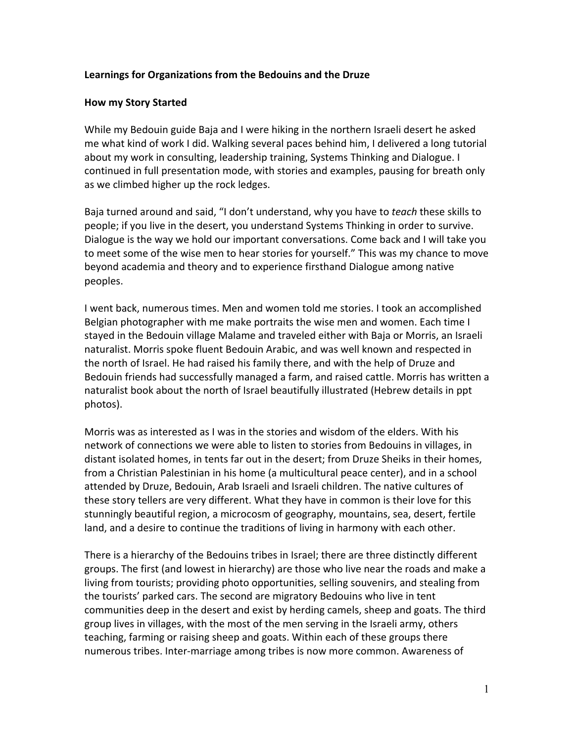## Learnings for Organizations from the Bedouins and the Druze

### **How my Story Started**

While my Bedouin guide Baja and I were hiking in the northern Israeli desert he asked me what kind of work I did. Walking several paces behind him, I delivered a long tutorial about my work in consulting, leadership training, Systems Thinking and Dialogue. I continued in full presentation mode, with stories and examples, pausing for breath only as we climbed higher up the rock ledges.

Baja turned around and said, "I don't understand, why you have to *teach* these skills to people; if you live in the desert, you understand Systems Thinking in order to survive. Dialogue is the way we hold our important conversations. Come back and I will take you to meet some of the wise men to hear stories for yourself." This was my chance to move beyond academia and theory and to experience firsthand Dialogue among native peoples.

I went back, numerous times. Men and women told me stories. I took an accomplished Belgian photographer with me make portraits the wise men and women. Each time I stayed in the Bedouin village Malame and traveled either with Baja or Morris, an Israeli naturalist. Morris spoke fluent Bedouin Arabic, and was well known and respected in the north of Israel. He had raised his family there, and with the help of Druze and Bedouin friends had successfully managed a farm, and raised cattle. Morris has written a naturalist book about the north of Israel beautifully illustrated (Hebrew details in ppt photos).

Morris was as interested as I was in the stories and wisdom of the elders. With his network of connections we were able to listen to stories from Bedouins in villages, in distant isolated homes, in tents far out in the desert; from Druze Sheiks in their homes, from a Christian Palestinian in his home (a multicultural peace center), and in a school attended by Druze, Bedouin, Arab Israeli and Israeli children. The native cultures of these story tellers are very different. What they have in common is their love for this stunningly beautiful region, a microcosm of geography, mountains, sea, desert, fertile land, and a desire to continue the traditions of living in harmony with each other.

There is a hierarchy of the Bedouins tribes in Israel; there are three distinctly different groups. The first (and lowest in hierarchy) are those who live near the roads and make a living from tourists; providing photo opportunities, selling souvenirs, and stealing from the tourists' parked cars. The second are migratory Bedouins who live in tent communities deep in the desert and exist by herding camels, sheep and goats. The third group lives in villages, with the most of the men serving in the Israeli army, others teaching, farming or raising sheep and goats. Within each of these groups there numerous tribes. Inter-marriage among tribes is now more common. Awareness of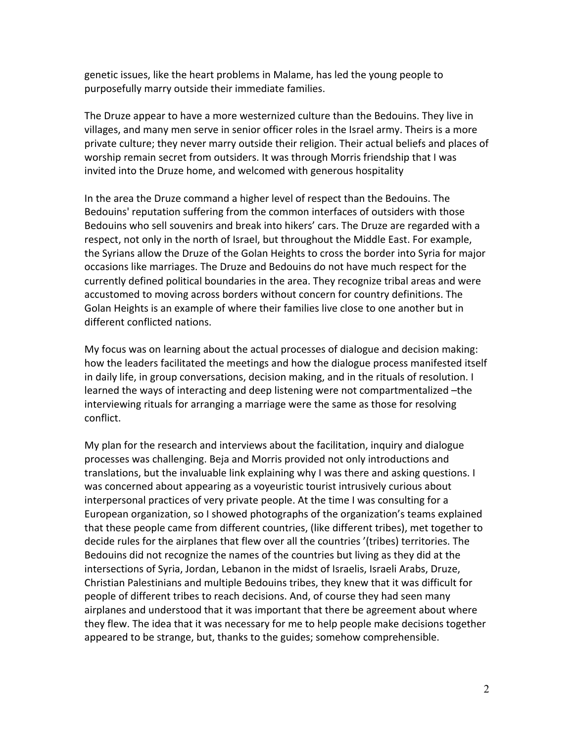genetic issues, like the heart problems in Malame, has led the young people to purposefully marry outside their immediate families.

The Druze appear to have a more westernized culture than the Bedouins. They live in villages, and many men serve in senior officer roles in the Israel army. Theirs is a more private culture; they never marry outside their religion. Their actual beliefs and places of worship remain secret from outsiders. It was through Morris friendship that I was invited into the Druze home, and welcomed with generous hospitality

In the area the Druze command a higher level of respect than the Bedouins. The Bedouins' reputation suffering from the common interfaces of outsiders with those Bedouins who sell souvenirs and break into hikers' cars. The Druze are regarded with a respect, not only in the north of Israel, but throughout the Middle East. For example, the Syrians allow the Druze of the Golan Heights to cross the border into Syria for major occasions like marriages. The Druze and Bedouins do not have much respect for the currently defined political boundaries in the area. They recognize tribal areas and were accustomed to moving across borders without concern for country definitions. The Golan Heights is an example of where their families live close to one another but in different conflicted nations.

My focus was on learning about the actual processes of dialogue and decision making: how the leaders facilitated the meetings and how the dialogue process manifested itself in daily life, in group conversations, decision making, and in the rituals of resolution. I learned the ways of interacting and deep listening were not compartmentalized -the interviewing rituals for arranging a marriage were the same as those for resolving conflict. 

My plan for the research and interviews about the facilitation, inquiry and dialogue processes was challenging. Beja and Morris provided not only introductions and translations, but the invaluable link explaining why I was there and asking questions. I was concerned about appearing as a voyeuristic tourist intrusively curious about interpersonal practices of very private people. At the time I was consulting for a European organization, so I showed photographs of the organization's teams explained that these people came from different countries, (like different tribes), met together to decide rules for the airplanes that flew over all the countries '(tribes) territories. The Bedouins did not recognize the names of the countries but living as they did at the intersections of Syria, Jordan, Lebanon in the midst of Israelis, Israeli Arabs, Druze, Christian Palestinians and multiple Bedouins tribes, they knew that it was difficult for people of different tribes to reach decisions. And, of course they had seen many airplanes and understood that it was important that there be agreement about where they flew. The idea that it was necessary for me to help people make decisions together appeared to be strange, but, thanks to the guides; somehow comprehensible.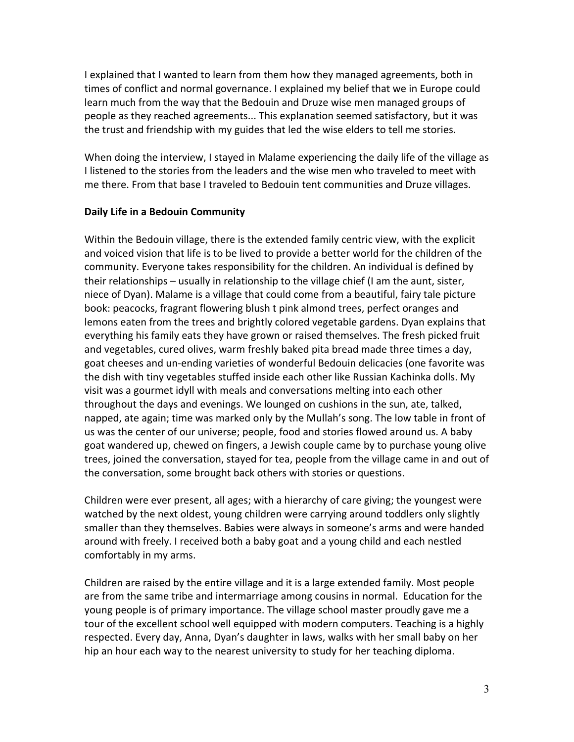I explained that I wanted to learn from them how they managed agreements, both in times of conflict and normal governance. I explained my belief that we in Europe could learn much from the way that the Bedouin and Druze wise men managed groups of people as they reached agreements... This explanation seemed satisfactory, but it was the trust and friendship with my guides that led the wise elders to tell me stories.

When doing the interview, I stayed in Malame experiencing the daily life of the village as I listened to the stories from the leaders and the wise men who traveled to meet with me there. From that base I traveled to Bedouin tent communities and Druze villages.

## **Daily Life in a Bedouin Community**

Within the Bedouin village, there is the extended family centric view, with the explicit and voiced vision that life is to be lived to provide a better world for the children of the community. Everyone takes responsibility for the children. An individual is defined by their relationships  $-$  usually in relationship to the village chief (I am the aunt, sister, niece of Dyan). Malame is a village that could come from a beautiful, fairy tale picture book: peacocks, fragrant flowering blush t pink almond trees, perfect oranges and lemons eaten from the trees and brightly colored vegetable gardens. Dyan explains that everything his family eats they have grown or raised themselves. The fresh picked fruit and vegetables, cured olives, warm freshly baked pita bread made three times a day, goat cheeses and un-ending varieties of wonderful Bedouin delicacies (one favorite was the dish with tiny vegetables stuffed inside each other like Russian Kachinka dolls. My visit was a gourmet idyll with meals and conversations melting into each other throughout the days and evenings. We lounged on cushions in the sun, ate, talked, napped, ate again; time was marked only by the Mullah's song. The low table in front of us was the center of our universe; people, food and stories flowed around us. A baby goat wandered up, chewed on fingers, a Jewish couple came by to purchase young olive trees, joined the conversation, stayed for tea, people from the village came in and out of the conversation, some brought back others with stories or questions.

Children were ever present, all ages; with a hierarchy of care giving; the youngest were watched by the next oldest, young children were carrying around toddlers only slightly smaller than they themselves. Babies were always in someone's arms and were handed around with freely. I received both a baby goat and a young child and each nestled comfortably in my arms.

Children are raised by the entire village and it is a large extended family. Most people are from the same tribe and intermarriage among cousins in normal. Education for the young people is of primary importance. The village school master proudly gave me a tour of the excellent school well equipped with modern computers. Teaching is a highly respected. Every day, Anna, Dyan's daughter in laws, walks with her small baby on her hip an hour each way to the nearest university to study for her teaching diploma.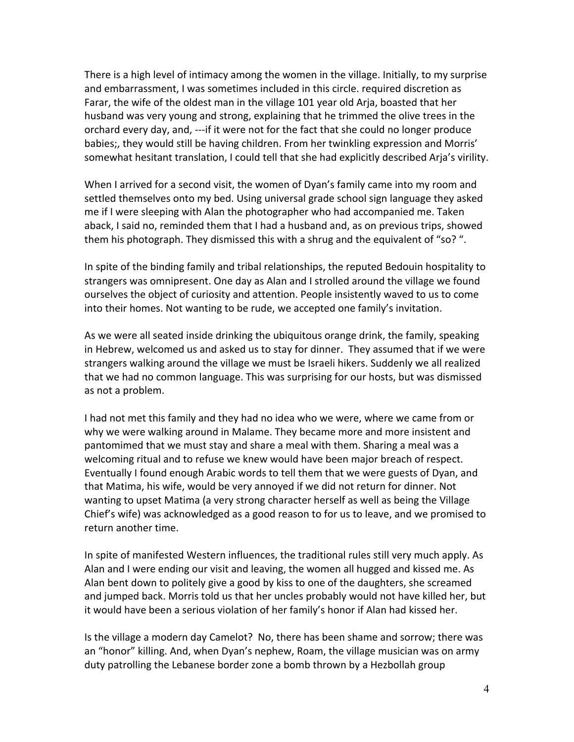There is a high level of intimacy among the women in the village. Initially, to my surprise and embarrassment, I was sometimes included in this circle. required discretion as Farar, the wife of the oldest man in the village 101 year old Arja, boasted that her husband was very young and strong, explaining that he trimmed the olive trees in the orchard every day, and, ---if it were not for the fact that she could no longer produce babies;, they would still be having children. From her twinkling expression and Morris' somewhat hesitant translation, I could tell that she had explicitly described Arja's virility.

When I arrived for a second visit, the women of Dyan's family came into my room and settled themselves onto my bed. Using universal grade school sign language they asked me if I were sleeping with Alan the photographer who had accompanied me. Taken aback, I said no, reminded them that I had a husband and, as on previous trips, showed them his photograph. They dismissed this with a shrug and the equivalent of "so?".

In spite of the binding family and tribal relationships, the reputed Bedouin hospitality to strangers was omnipresent. One day as Alan and I strolled around the village we found ourselves the object of curiosity and attention. People insistently waved to us to come into their homes. Not wanting to be rude, we accepted one family's invitation.

As we were all seated inside drinking the ubiquitous orange drink, the family, speaking in Hebrew, welcomed us and asked us to stay for dinner. They assumed that if we were strangers walking around the village we must be Israeli hikers. Suddenly we all realized that we had no common language. This was surprising for our hosts, but was dismissed as not a problem.

I had not met this family and they had no idea who we were, where we came from or why we were walking around in Malame. They became more and more insistent and pantomimed that we must stay and share a meal with them. Sharing a meal was a welcoming ritual and to refuse we knew would have been major breach of respect. Eventually I found enough Arabic words to tell them that we were guests of Dyan, and that Matima, his wife, would be very annoyed if we did not return for dinner. Not wanting to upset Matima (a very strong character herself as well as being the Village Chief's wife) was acknowledged as a good reason to for us to leave, and we promised to return another time.

In spite of manifested Western influences, the traditional rules still very much apply. As Alan and I were ending our visit and leaving, the women all hugged and kissed me. As Alan bent down to politely give a good by kiss to one of the daughters, she screamed and jumped back. Morris told us that her uncles probably would not have killed her, but it would have been a serious violation of her family's honor if Alan had kissed her.

Is the village a modern day Camelot? No, there has been shame and sorrow; there was an "honor" killing. And, when Dyan's nephew, Roam, the village musician was on army duty patrolling the Lebanese border zone a bomb thrown by a Hezbollah group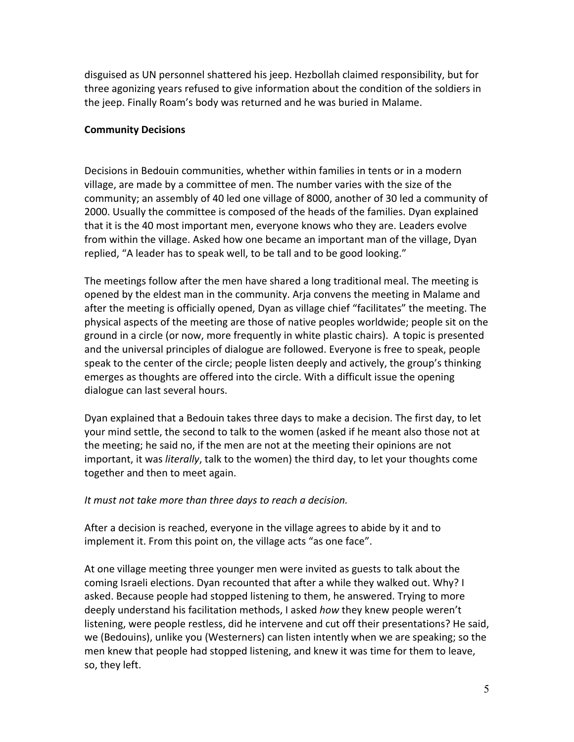disguised as UN personnel shattered his jeep. Hezbollah claimed responsibility, but for three agonizing years refused to give information about the condition of the soldiers in the jeep. Finally Roam's body was returned and he was buried in Malame.

### **Community Decisions**

Decisions in Bedouin communities, whether within families in tents or in a modern village, are made by a committee of men. The number varies with the size of the community; an assembly of 40 led one village of 8000, another of 30 led a community of 2000. Usually the committee is composed of the heads of the families. Dyan explained that it is the 40 most important men, everyone knows who they are. Leaders evolve from within the village. Asked how one became an important man of the village, Dyan replied, "A leader has to speak well, to be tall and to be good looking."

The meetings follow after the men have shared a long traditional meal. The meeting is opened by the eldest man in the community. Arja convens the meeting in Malame and after the meeting is officially opened, Dyan as village chief "facilitates" the meeting. The physical aspects of the meeting are those of native peoples worldwide; people sit on the ground in a circle (or now, more frequently in white plastic chairs). A topic is presented and the universal principles of dialogue are followed. Everyone is free to speak, people speak to the center of the circle; people listen deeply and actively, the group's thinking emerges as thoughts are offered into the circle. With a difficult issue the opening dialogue can last several hours.

Dyan explained that a Bedouin takes three days to make a decision. The first day, to let your mind settle, the second to talk to the women (asked if he meant also those not at the meeting; he said no, if the men are not at the meeting their opinions are not important, it was *literally*, talk to the women) the third day, to let your thoughts come together and then to meet again.

# It must not take more than three days to reach a decision.

After a decision is reached, everyone in the village agrees to abide by it and to implement it. From this point on, the village acts "as one face".

At one village meeting three younger men were invited as guests to talk about the coming Israeli elections. Dyan recounted that after a while they walked out. Why? I asked. Because people had stopped listening to them, he answered. Trying to more deeply understand his facilitation methods, I asked *how* they knew people weren't listening, were people restless, did he intervene and cut off their presentations? He said, we (Bedouins), unlike you (Westerners) can listen intently when we are speaking; so the men knew that people had stopped listening, and knew it was time for them to leave, so, they left.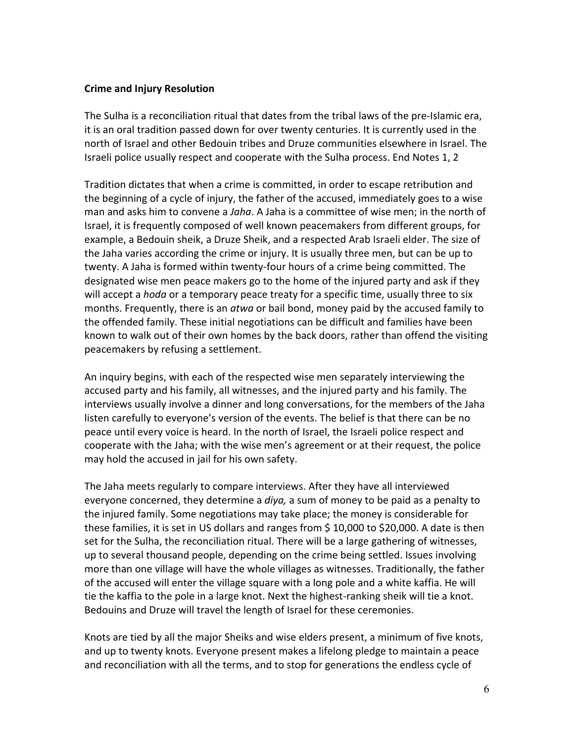#### **Crime and Injury Resolution**

The Sulha is a reconciliation ritual that dates from the tribal laws of the pre-Islamic era, it is an oral tradition passed down for over twenty centuries. It is currently used in the north of Israel and other Bedouin tribes and Druze communities elsewhere in Israel. The Israeli police usually respect and cooperate with the Sulha process. End Notes 1, 2

Tradition dictates that when a crime is committed, in order to escape retribution and the beginning of a cycle of injury, the father of the accused, immediately goes to a wise man and asks him to convene a *Jaha*. A Jaha is a committee of wise men; in the north of Israel, it is frequently composed of well known peacemakers from different groups, for example, a Bedouin sheik, a Druze Sheik, and a respected Arab Israeli elder. The size of the Jaha varies according the crime or injury. It is usually three men, but can be up to twenty. A Jaha is formed within twenty-four hours of a crime being committed. The designated wise men peace makers go to the home of the injured party and ask if they will accept a *hoda* or a temporary peace treaty for a specific time, usually three to six months. Frequently, there is an *atwa* or bail bond, money paid by the accused family to the offended family. These initial negotiations can be difficult and families have been known to walk out of their own homes by the back doors, rather than offend the visiting peacemakers by refusing a settlement.

An inquiry begins, with each of the respected wise men separately interviewing the accused party and his family, all witnesses, and the injured party and his family. The interviews usually involve a dinner and long conversations, for the members of the Jaha listen carefully to everyone's version of the events. The belief is that there can be no peace until every voice is heard. In the north of Israel, the Israeli police respect and cooperate with the Jaha; with the wise men's agreement or at their request, the police may hold the accused in jail for his own safety.

The Jaha meets regularly to compare interviews. After they have all interviewed everyone concerned, they determine a *diya*, a sum of money to be paid as a penalty to the injured family. Some negotiations may take place; the money is considerable for these families, it is set in US dollars and ranges from  $\frac{10,000}{10,000}$  to \$20,000. A date is then set for the Sulha, the reconciliation ritual. There will be a large gathering of witnesses, up to several thousand people, depending on the crime being settled. Issues involving more than one village will have the whole villages as witnesses. Traditionally, the father of the accused will enter the village square with a long pole and a white kaffia. He will tie the kaffia to the pole in a large knot. Next the highest-ranking sheik will tie a knot. Bedouins and Druze will travel the length of Israel for these ceremonies.

Knots are tied by all the major Sheiks and wise elders present, a minimum of five knots, and up to twenty knots. Everyone present makes a lifelong pledge to maintain a peace and reconciliation with all the terms, and to stop for generations the endless cycle of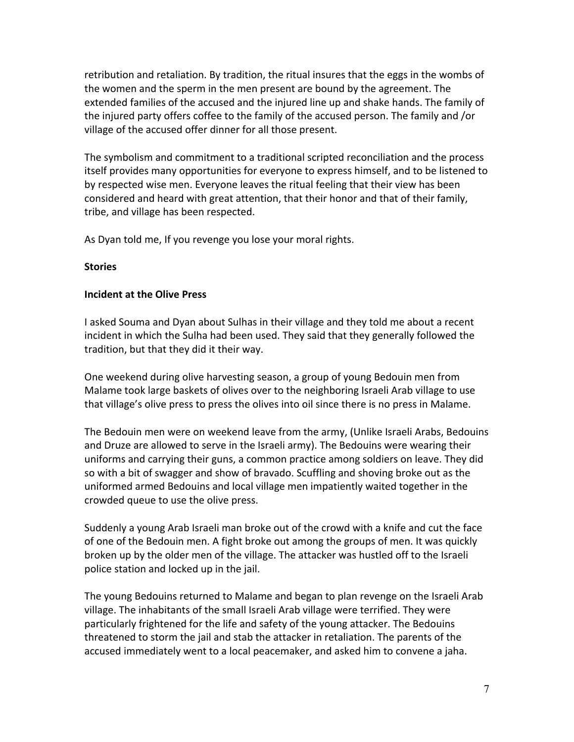retribution and retaliation. By tradition, the ritual insures that the eggs in the wombs of the women and the sperm in the men present are bound by the agreement. The extended families of the accused and the injured line up and shake hands. The family of the injured party offers coffee to the family of the accused person. The family and /or village of the accused offer dinner for all those present.

The symbolism and commitment to a traditional scripted reconciliation and the process itself provides many opportunities for everyone to express himself, and to be listened to by respected wise men. Everyone leaves the ritual feeling that their view has been considered and heard with great attention, that their honor and that of their family, tribe, and village has been respected.

As Dyan told me, If you revenge you lose your moral rights.

#### **Stories**

#### **Incident at the Olive Press**

I asked Souma and Dyan about Sulhas in their village and they told me about a recent incident in which the Sulha had been used. They said that they generally followed the tradition, but that they did it their way.

One weekend during olive harvesting season, a group of young Bedouin men from Malame took large baskets of olives over to the neighboring Israeli Arab village to use that village's olive press to press the olives into oil since there is no press in Malame.

The Bedouin men were on weekend leave from the army, (Unlike Israeli Arabs, Bedouins and Druze are allowed to serve in the Israeli army). The Bedouins were wearing their uniforms and carrying their guns, a common practice among soldiers on leave. They did so with a bit of swagger and show of bravado. Scuffling and shoving broke out as the uniformed armed Bedouins and local village men impatiently waited together in the crowded queue to use the olive press.

Suddenly a young Arab Israeli man broke out of the crowd with a knife and cut the face of one of the Bedouin men. A fight broke out among the groups of men. It was quickly broken up by the older men of the village. The attacker was hustled off to the Israeli police station and locked up in the jail.

The young Bedouins returned to Malame and began to plan revenge on the Israeli Arab village. The inhabitants of the small Israeli Arab village were terrified. They were particularly frightened for the life and safety of the young attacker. The Bedouins threatened to storm the jail and stab the attacker in retaliation. The parents of the accused immediately went to a local peacemaker, and asked him to convene a jaha.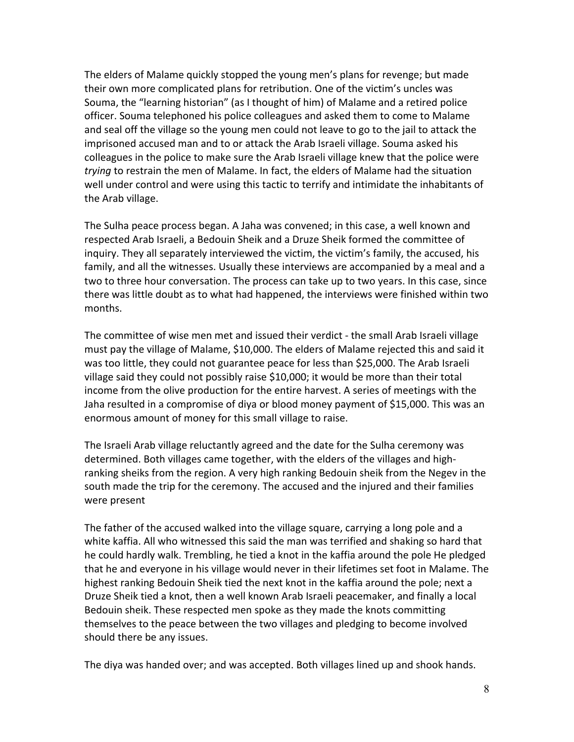The elders of Malame quickly stopped the young men's plans for revenge; but made their own more complicated plans for retribution. One of the victim's uncles was Souma, the "learning historian" (as I thought of him) of Malame and a retired police officer. Souma telephoned his police colleagues and asked them to come to Malame and seal off the village so the young men could not leave to go to the jail to attack the imprisoned accused man and to or attack the Arab Israeli village. Souma asked his colleagues in the police to make sure the Arab Israeli village knew that the police were *trying* to restrain the men of Malame. In fact, the elders of Malame had the situation well under control and were using this tactic to terrify and intimidate the inhabitants of the Arab village.

The Sulha peace process began. A Jaha was convened; in this case, a well known and respected Arab Israeli, a Bedouin Sheik and a Druze Sheik formed the committee of inquiry. They all separately interviewed the victim, the victim's family, the accused, his family, and all the witnesses. Usually these interviews are accompanied by a meal and a two to three hour conversation. The process can take up to two years. In this case, since there was little doubt as to what had happened, the interviews were finished within two months.

The committee of wise men met and issued their verdict - the small Arab Israeli village must pay the village of Malame, \$10,000. The elders of Malame rejected this and said it was too little, they could not guarantee peace for less than \$25,000. The Arab Israeli village said they could not possibly raise \$10,000; it would be more than their total income from the olive production for the entire harvest. A series of meetings with the Jaha resulted in a compromise of diya or blood money payment of \$15,000. This was an enormous amount of money for this small village to raise.

The Israeli Arab village reluctantly agreed and the date for the Sulha ceremony was determined. Both villages came together, with the elders of the villages and highranking sheiks from the region. A very high ranking Bedouin sheik from the Negev in the south made the trip for the ceremony. The accused and the injured and their families were present

The father of the accused walked into the village square, carrying a long pole and a white kaffia. All who witnessed this said the man was terrified and shaking so hard that he could hardly walk. Trembling, he tied a knot in the kaffia around the pole He pledged that he and everyone in his village would never in their lifetimes set foot in Malame. The highest ranking Bedouin Sheik tied the next knot in the kaffia around the pole; next a Druze Sheik tied a knot, then a well known Arab Israeli peacemaker, and finally a local Bedouin sheik. These respected men spoke as they made the knots committing themselves to the peace between the two villages and pledging to become involved should there be any issues.

The diya was handed over; and was accepted. Both villages lined up and shook hands.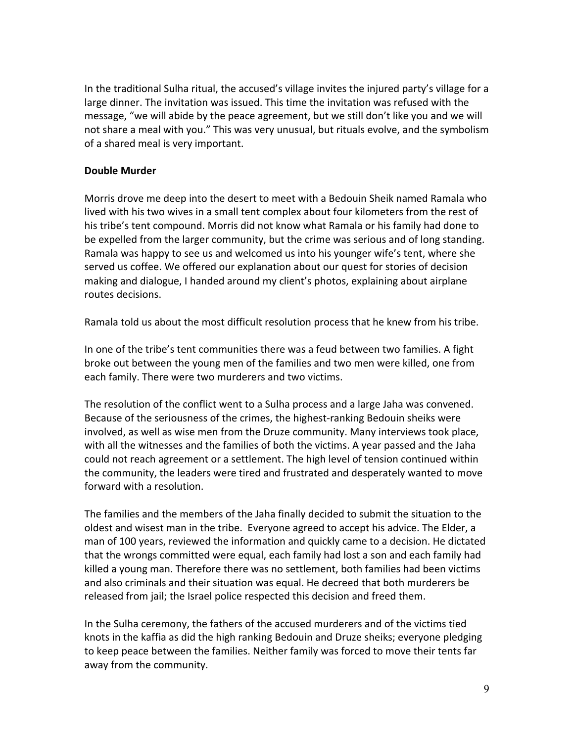In the traditional Sulha ritual, the accused's village invites the injured party's village for a large dinner. The invitation was issued. This time the invitation was refused with the message, "we will abide by the peace agreement, but we still don't like you and we will not share a meal with you." This was very unusual, but rituals evolve, and the symbolism of a shared meal is very important.

# **Double Murder**

Morris drove me deep into the desert to meet with a Bedouin Sheik named Ramala who lived with his two wives in a small tent complex about four kilometers from the rest of his tribe's tent compound. Morris did not know what Ramala or his family had done to be expelled from the larger community, but the crime was serious and of long standing. Ramala was happy to see us and welcomed us into his younger wife's tent, where she served us coffee. We offered our explanation about our quest for stories of decision making and dialogue, I handed around my client's photos, explaining about airplane routes decisions.

Ramala told us about the most difficult resolution process that he knew from his tribe.

In one of the tribe's tent communities there was a feud between two families. A fight broke out between the young men of the families and two men were killed, one from each family. There were two murderers and two victims.

The resolution of the conflict went to a Sulha process and a large Jaha was convened. Because of the seriousness of the crimes, the highest-ranking Bedouin sheiks were involved, as well as wise men from the Druze community. Many interviews took place, with all the witnesses and the families of both the victims. A year passed and the Jaha could not reach agreement or a settlement. The high level of tension continued within the community, the leaders were tired and frustrated and desperately wanted to move forward with a resolution.

The families and the members of the Jaha finally decided to submit the situation to the oldest and wisest man in the tribe. Everyone agreed to accept his advice. The Elder, a man of 100 years, reviewed the information and quickly came to a decision. He dictated that the wrongs committed were equal, each family had lost a son and each family had killed a young man. Therefore there was no settlement, both families had been victims and also criminals and their situation was equal. He decreed that both murderers be released from jail; the Israel police respected this decision and freed them.

In the Sulha ceremony, the fathers of the accused murderers and of the victims tied knots in the kaffia as did the high ranking Bedouin and Druze sheiks; everyone pledging to keep peace between the families. Neither family was forced to move their tents far away from the community.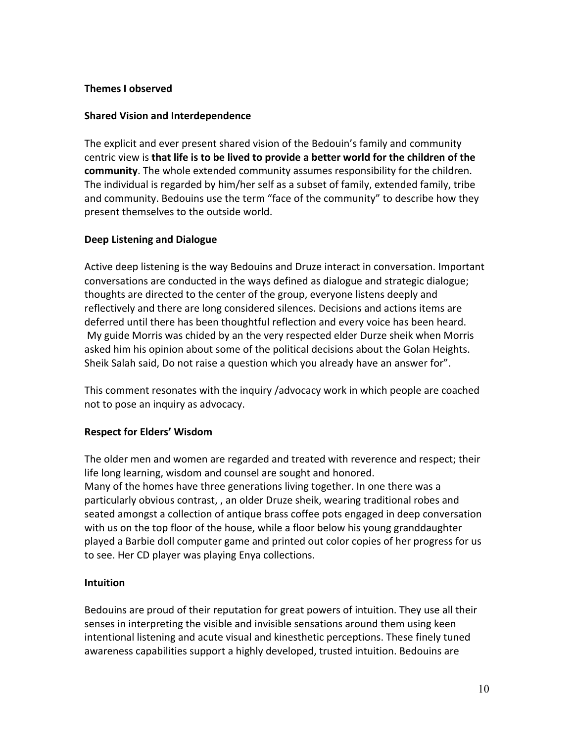### **Themes I observed**

# **Shared Vision and Interdependence**

The explicit and ever present shared vision of the Bedouin's family and community centric view is **that life is to be lived to provide a better world for the children of the community**. The whole extended community assumes responsibility for the children. The individual is regarded by him/her self as a subset of family, extended family, tribe and community. Bedouins use the term "face of the community" to describe how they present themselves to the outside world.

## **Deep Listening and Dialogue**

Active deep listening is the way Bedouins and Druze interact in conversation. Important conversations are conducted in the ways defined as dialogue and strategic dialogue; thoughts are directed to the center of the group, everyone listens deeply and reflectively and there are long considered silences. Decisions and actions items are deferred until there has been thoughtful reflection and every voice has been heard. My guide Morris was chided by an the very respected elder Durze sheik when Morris asked him his opinion about some of the political decisions about the Golan Heights. Sheik Salah said, Do not raise a question which you already have an answer for".

This comment resonates with the inquiry /advocacy work in which people are coached not to pose an inquiry as advocacy.

#### **Respect for Elders' Wisdom**

The older men and women are regarded and treated with reverence and respect; their life long learning, wisdom and counsel are sought and honored. Many of the homes have three generations living together. In one there was a particularly obvious contrast, , an older Druze sheik, wearing traditional robes and seated amongst a collection of antique brass coffee pots engaged in deep conversation with us on the top floor of the house, while a floor below his young granddaughter played a Barbie doll computer game and printed out color copies of her progress for us to see. Her CD player was playing Enya collections.

# **Intuition**

Bedouins are proud of their reputation for great powers of intuition. They use all their senses in interpreting the visible and invisible sensations around them using keen intentional listening and acute visual and kinesthetic perceptions. These finely tuned awareness capabilities support a highly developed, trusted intuition. Bedouins are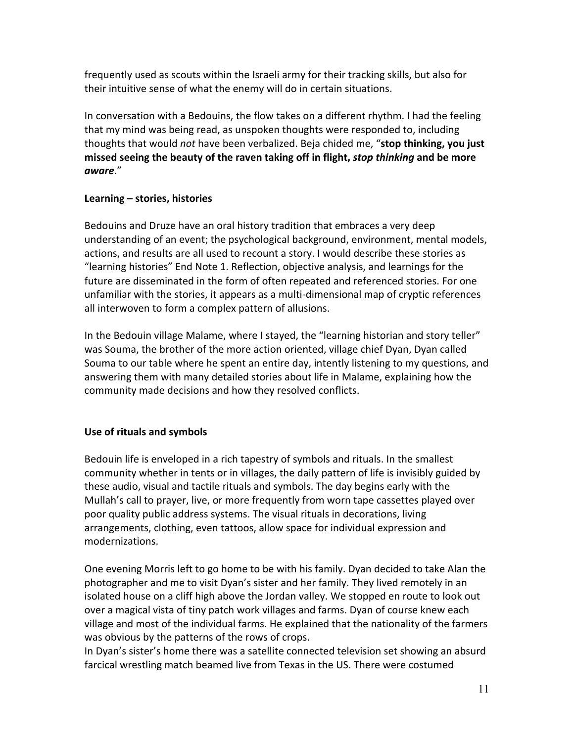frequently used as scouts within the Israeli army for their tracking skills, but also for their intuitive sense of what the enemy will do in certain situations.

In conversation with a Bedouins, the flow takes on a different rhythm. I had the feeling that my mind was being read, as unspoken thoughts were responded to, including thoughts that would *not* have been verbalized. Beja chided me, "stop thinking, you just missed seeing the beauty of the raven taking off in flight, *stop thinking* and be more *aware*." 

# **Learning – stories, histories**

Bedouins and Druze have an oral history tradition that embraces a very deep understanding of an event; the psychological background, environment, mental models, actions, and results are all used to recount a story. I would describe these stories as "Iearning histories" End Note 1. Reflection, objective analysis, and learnings for the future are disseminated in the form of often repeated and referenced stories. For one unfamiliar with the stories, it appears as a multi-dimensional map of cryptic references all interwoven to form a complex pattern of allusions.

In the Bedouin village Malame, where I stayed, the "learning historian and story teller" was Souma, the brother of the more action oriented, village chief Dyan, Dyan called Souma to our table where he spent an entire day, intently listening to my questions, and answering them with many detailed stories about life in Malame, explaining how the community made decisions and how they resolved conflicts.

# Use of rituals and symbols

Bedouin life is enveloped in a rich tapestry of symbols and rituals. In the smallest community whether in tents or in villages, the daily pattern of life is invisibly guided by these audio, visual and tactile rituals and symbols. The day begins early with the Mullah's call to prayer, live, or more frequently from worn tape cassettes played over poor quality public address systems. The visual rituals in decorations, living arrangements, clothing, even tattoos, allow space for individual expression and modernizations.

One evening Morris left to go home to be with his family. Dyan decided to take Alan the photographer and me to visit Dyan's sister and her family. They lived remotely in an isolated house on a cliff high above the Jordan valley. We stopped en route to look out over a magical vista of tiny patch work villages and farms. Dyan of course knew each village and most of the individual farms. He explained that the nationality of the farmers was obvious by the patterns of the rows of crops.

In Dyan's sister's home there was a satellite connected television set showing an absurd farcical wrestling match beamed live from Texas in the US. There were costumed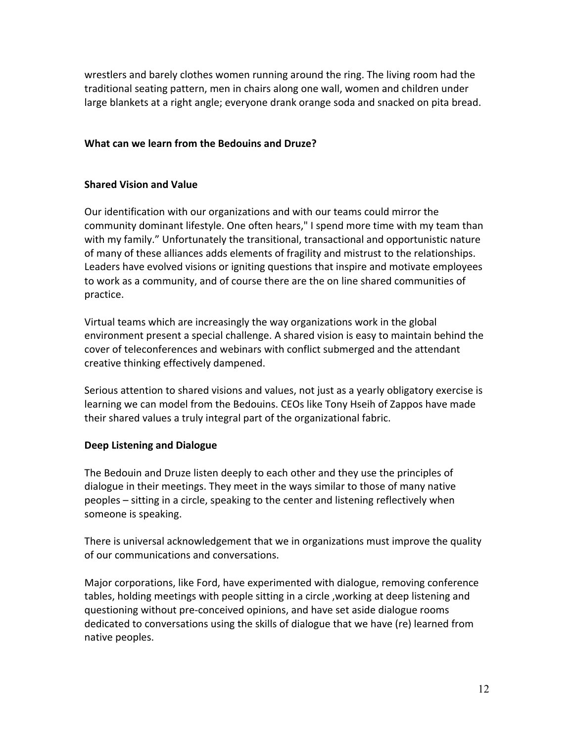wrestlers and barely clothes women running around the ring. The living room had the traditional seating pattern, men in chairs along one wall, women and children under large blankets at a right angle; everyone drank orange soda and snacked on pita bread.

### **What can we learn from the Bedouins and Druze?**

# **Shared Vision and Value**

Our identification with our organizations and with our teams could mirror the community dominant lifestyle. One often hears," I spend more time with my team than with my family." Unfortunately the transitional, transactional and opportunistic nature of many of these alliances adds elements of fragility and mistrust to the relationships. Leaders have evolved visions or igniting questions that inspire and motivate employees to work as a community, and of course there are the on line shared communities of practice.

Virtual teams which are increasingly the way organizations work in the global environment present a special challenge. A shared vision is easy to maintain behind the cover of teleconferences and webinars with conflict submerged and the attendant creative thinking effectively dampened.

Serious attention to shared visions and values, not just as a yearly obligatory exercise is learning we can model from the Bedouins. CEOs like Tony Hseih of Zappos have made their shared values a truly integral part of the organizational fabric.

# **Deep Listening and Dialogue**

The Bedouin and Druze listen deeply to each other and they use the principles of dialogue in their meetings. They meet in the ways similar to those of many native peoples - sitting in a circle, speaking to the center and listening reflectively when someone is speaking.

There is universal acknowledgement that we in organizations must improve the quality of our communications and conversations.

Major corporations, like Ford, have experimented with dialogue, removing conference tables, holding meetings with people sitting in a circle, working at deep listening and questioning without pre-conceived opinions, and have set aside dialogue rooms dedicated to conversations using the skills of dialogue that we have (re) learned from native peoples.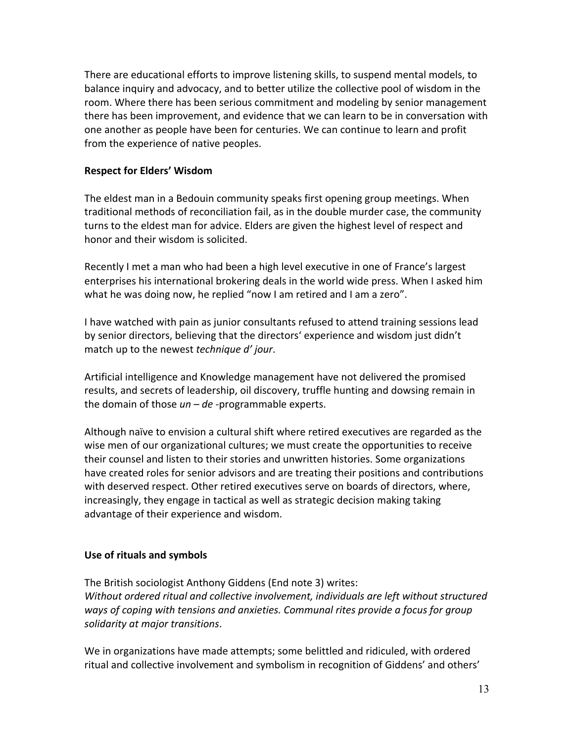There are educational efforts to improve listening skills, to suspend mental models, to balance inquiry and advocacy, and to better utilize the collective pool of wisdom in the room. Where there has been serious commitment and modeling by senior management there has been improvement, and evidence that we can learn to be in conversation with one another as people have been for centuries. We can continue to learn and profit from the experience of native peoples.

### **Respect for Elders' Wisdom**

The eldest man in a Bedouin community speaks first opening group meetings. When traditional methods of reconciliation fail, as in the double murder case, the community turns to the eldest man for advice. Elders are given the highest level of respect and honor and their wisdom is solicited.

Recently I met a man who had been a high level executive in one of France's largest enterprises his international brokering deals in the world wide press. When I asked him what he was doing now, he replied "now I am retired and I am a zero".

I have watched with pain as junior consultants refused to attend training sessions lead by senior directors, believing that the directors' experience and wisdom just didn't match up to the newest *technique d' jour*.

Artificial intelligence and Knowledge management have not delivered the promised results, and secrets of leadership, oil discovery, truffle hunting and dowsing remain in the domain of those *un* – *de* -programmable experts.

Although naïve to envision a cultural shift where retired executives are regarded as the wise men of our organizational cultures; we must create the opportunities to receive their counsel and listen to their stories and unwritten histories. Some organizations have created roles for senior advisors and are treating their positions and contributions with deserved respect. Other retired executives serve on boards of directors, where, increasingly, they engage in tactical as well as strategic decision making taking advantage of their experience and wisdom.

#### Use of rituals and symbols

The British sociologist Anthony Giddens (End note 3) writes: *Without ordered ritual and collective involvement, individuals are left without structured* ways of coping with tensions and anxieties. Communal rites provide a focus for group *solidarity at major transitions*.

We in organizations have made attempts; some belittled and ridiculed, with ordered ritual and collective involvement and symbolism in recognition of Giddens' and others'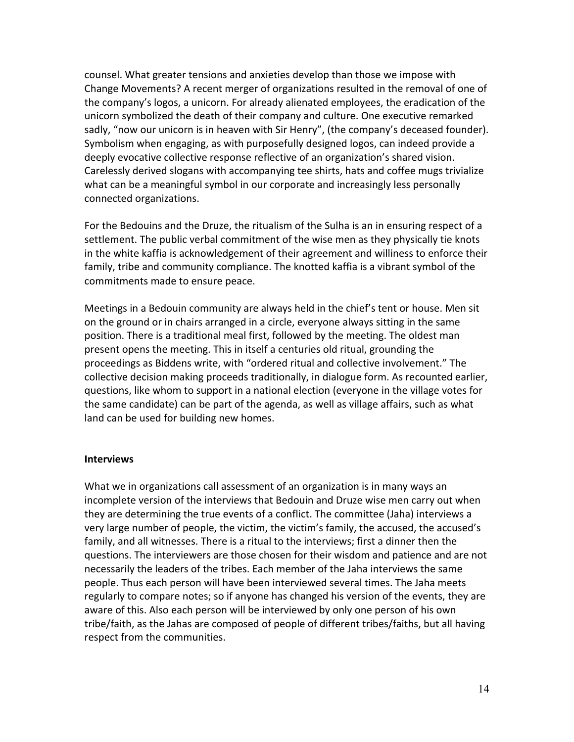counsel. What greater tensions and anxieties develop than those we impose with Change Movements? A recent merger of organizations resulted in the removal of one of the company's logos, a unicorn. For already alienated employees, the eradication of the unicorn symbolized the death of their company and culture. One executive remarked sadly, "now our unicorn is in heaven with Sir Henry", (the company's deceased founder). Symbolism when engaging, as with purposefully designed logos, can indeed provide a deeply evocative collective response reflective of an organization's shared vision. Carelessly derived slogans with accompanying tee shirts, hats and coffee mugs trivialize what can be a meaningful symbol in our corporate and increasingly less personally connected organizations.

For the Bedouins and the Druze, the ritualism of the Sulha is an in ensuring respect of a settlement. The public verbal commitment of the wise men as they physically tie knots in the white kaffia is acknowledgement of their agreement and williness to enforce their family, tribe and community compliance. The knotted kaffia is a vibrant symbol of the commitments made to ensure peace.

Meetings in a Bedouin community are always held in the chief's tent or house. Men sit on the ground or in chairs arranged in a circle, everyone always sitting in the same position. There is a traditional meal first, followed by the meeting. The oldest man present opens the meeting. This in itself a centuries old ritual, grounding the proceedings as Biddens write, with "ordered ritual and collective involvement." The collective decision making proceeds traditionally, in dialogue form. As recounted earlier, questions, like whom to support in a national election (everyone in the village votes for the same candidate) can be part of the agenda, as well as village affairs, such as what land can be used for building new homes.

#### **Interviews**

What we in organizations call assessment of an organization is in many ways an incomplete version of the interviews that Bedouin and Druze wise men carry out when they are determining the true events of a conflict. The committee (Jaha) interviews a very large number of people, the victim, the victim's family, the accused, the accused's family, and all witnesses. There is a ritual to the interviews; first a dinner then the questions. The interviewers are those chosen for their wisdom and patience and are not necessarily the leaders of the tribes. Each member of the Jaha interviews the same people. Thus each person will have been interviewed several times. The Jaha meets regularly to compare notes; so if anyone has changed his version of the events, they are aware of this. Also each person will be interviewed by only one person of his own tribe/faith, as the Jahas are composed of people of different tribes/faiths, but all having respect from the communities.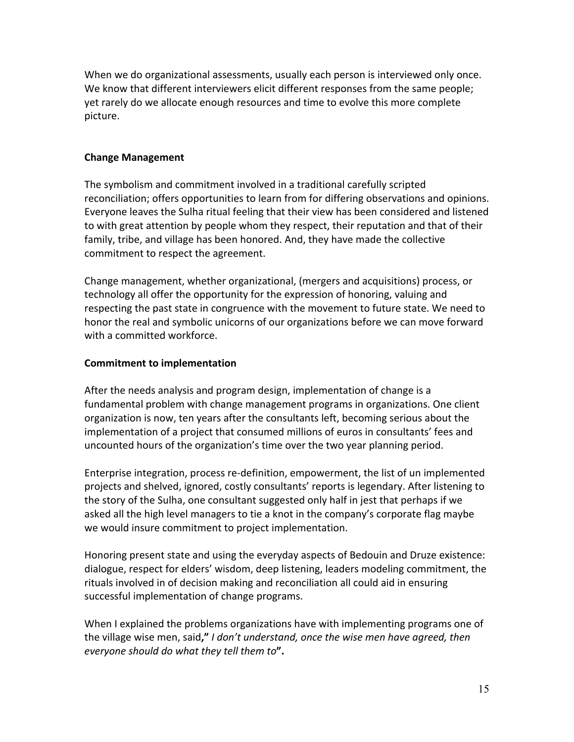When we do organizational assessments, usually each person is interviewed only once. We know that different interviewers elicit different responses from the same people; yet rarely do we allocate enough resources and time to evolve this more complete picture.

## **Change Management**

The symbolism and commitment involved in a traditional carefully scripted reconciliation; offers opportunities to learn from for differing observations and opinions. Everyone leaves the Sulha ritual feeling that their view has been considered and listened to with great attention by people whom they respect, their reputation and that of their family, tribe, and village has been honored. And, they have made the collective commitment to respect the agreement.

Change management, whether organizational, (mergers and acquisitions) process, or technology all offer the opportunity for the expression of honoring, valuing and respecting the past state in congruence with the movement to future state. We need to honor the real and symbolic unicorns of our organizations before we can move forward with a committed workforce.

## **Commitment to implementation**

After the needs analysis and program design, implementation of change is a fundamental problem with change management programs in organizations. One client organization is now, ten years after the consultants left, becoming serious about the implementation of a project that consumed millions of euros in consultants' fees and uncounted hours of the organization's time over the two year planning period.

Enterprise integration, process re-definition, empowerment, the list of un implemented projects and shelved, ignored, costly consultants' reports is legendary. After listening to the story of the Sulha, one consultant suggested only half in jest that perhaps if we asked all the high level managers to tie a knot in the company's corporate flag maybe we would insure commitment to project implementation.

Honoring present state and using the everyday aspects of Bedouin and Druze existence: dialogue, respect for elders' wisdom, deep listening, leaders modeling commitment, the rituals involved in of decision making and reconciliation all could aid in ensuring successful implementation of change programs.

When I explained the problems organizations have with implementing programs one of the village wise men, said," I don't understand, once the wise men have agreed, then *everyone should do what they tell them to***".**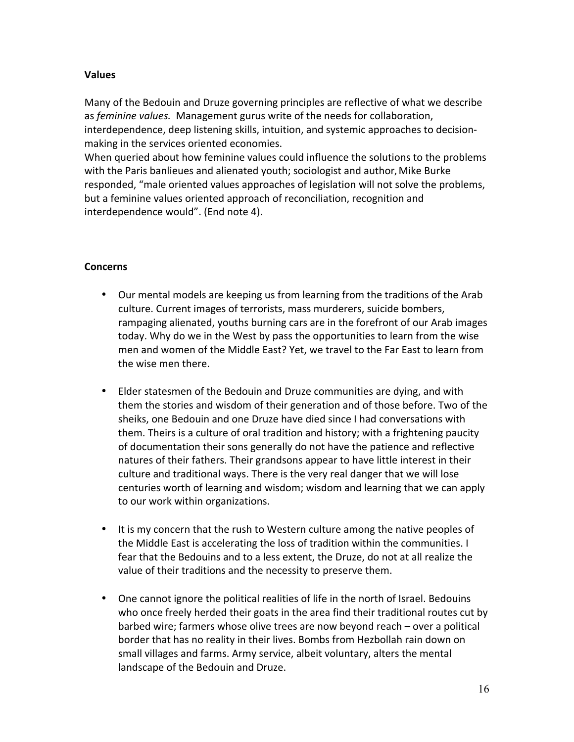# **Values**

Many of the Bedouin and Druze governing principles are reflective of what we describe as *feminine values*. Management gurus write of the needs for collaboration, interdependence, deep listening skills, intuition, and systemic approaches to decisionmaking in the services oriented economies.

When queried about how feminine values could influence the solutions to the problems with the Paris banlieues and alienated youth; sociologist and author, Mike Burke responded, "male oriented values approaches of legislation will not solve the problems, but a feminine values oriented approach of reconciliation, recognition and interdependence would". (End note 4).

#### **Concerns**

- Our mental models are keeping us from learning from the traditions of the Arab culture. Current images of terrorists, mass murderers, suicide bombers, rampaging alienated, youths burning cars are in the forefront of our Arab images today. Why do we in the West by pass the opportunities to learn from the wise men and women of the Middle East? Yet, we travel to the Far East to learn from the wise men there.
- Elder statesmen of the Bedouin and Druze communities are dying, and with them the stories and wisdom of their generation and of those before. Two of the sheiks, one Bedouin and one Druze have died since I had conversations with them. Theirs is a culture of oral tradition and history; with a frightening paucity of documentation their sons generally do not have the patience and reflective natures of their fathers. Their grandsons appear to have little interest in their culture and traditional ways. There is the very real danger that we will lose centuries worth of learning and wisdom; wisdom and learning that we can apply to our work within organizations.
- It is my concern that the rush to Western culture among the native peoples of the Middle East is accelerating the loss of tradition within the communities. I fear that the Bedouins and to a less extent, the Druze, do not at all realize the value of their traditions and the necessity to preserve them.
- One cannot ignore the political realities of life in the north of Israel. Bedouins who once freely herded their goats in the area find their traditional routes cut by barbed wire; farmers whose olive trees are now beyond reach – over a political border that has no reality in their lives. Bombs from Hezbollah rain down on small villages and farms. Army service, albeit voluntary, alters the mental landscape of the Bedouin and Druze.